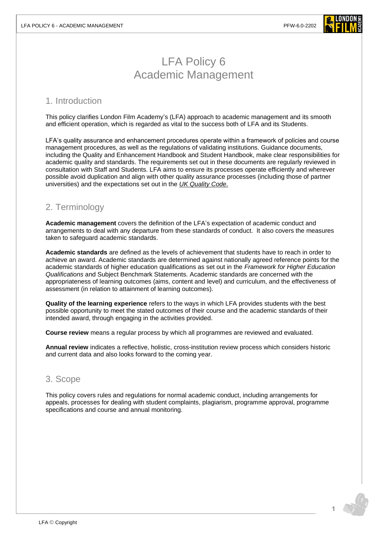

# LFA Policy 6 Academic Management

### 1. Introduction

This policy clarifies London Film Academy's (LFA) approach to academic management and its smooth and efficient operation, which is regarded as vital to the success both of LFA and its Students.

LFA's quality assurance and enhancement procedures operate within a framework of policies and course management procedures, as well as the regulations of validating institutions. Guidance documents, including the Quality and Enhancement Handbook and Student Handbook, make clear responsibilities for academic quality and standards. The requirements set out in these documents are regularly reviewed in consultation with Staff and Students. LFA aims to ensure its processes operate efficiently and wherever possible avoid duplication and align with other quality assurance processes (including those of partner universities) and the expectations set out in the *[UK Quality Code](https://www.qaa.ac.uk/quality-code)*.

# 2. Terminology

**Academic management** covers the definition of the LFA's expectation of academic conduct and arrangements to deal with any departure from these standards of conduct. It also covers the measures taken to safeguard academic standards.

**Academic standards** are defined as the levels of achievement that students have to reach in order to achieve an award. Academic standards are determined against nationally agreed reference points for the academic standards of higher education qualifications as set out in the *Framework for Higher Education Qualifications* and Subject Benchmark Statements. Academic standards are concerned with the appropriateness of learning outcomes (aims, content and level) and curriculum, and the effectiveness of assessment (in relation to attainment of learning outcomes).

**Quality of the learning experience** refers to the ways in which LFA provides students with the best possible opportunity to meet the stated outcomes of their course and the academic standards of their intended award, through engaging in the activities provided.

**Course review** means a regular process by which all programmes are reviewed and evaluated.

**Annual review** indicates a reflective, holistic, cross-institution review process which considers historic and current data and also looks forward to the coming year.

### 3. Scope

This policy covers rules and regulations for normal academic conduct, including arrangements for appeals, processes for dealing with student complaints, plagiarism, programme approval, programme specifications and course and annual monitoring.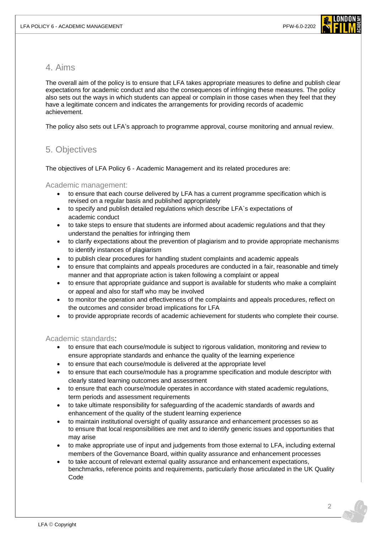

### 4. Aims

The overall aim of the policy is to ensure that LFA takes appropriate measures to define and publish clear expectations for academic conduct and also the consequences of infringing these measures. The policy also sets out the ways in which students can appeal or complain in those cases when they feel that they have a legitimate concern and indicates the arrangements for providing records of academic achievement.

The policy also sets out LFA's approach to programme approval, course monitoring and annual review.

### 5. Objectives

The objectives of LFA Policy 6 - Academic Management and its related procedures are:

#### Academic management:

- to ensure that each course delivered by LFA has a current programme specification which is revised on a regular basis and published appropriately
- to specify and publish detailed regulations which describe LFA`s expectations of academic conduct
- to take steps to ensure that students are informed about academic regulations and that they understand the penalties for infringing them
- to clarify expectations about the prevention of plagiarism and to provide appropriate mechanisms to identify instances of plagiarism
- to publish clear procedures for handling student complaints and academic appeals
- to ensure that complaints and appeals procedures are conducted in a fair, reasonable and timely manner and that appropriate action is taken following a complaint or appeal
- to ensure that appropriate guidance and support is available for students who make a complaint or appeal and also for staff who may be involved
- to monitor the operation and effectiveness of the complaints and appeals procedures, reflect on the outcomes and consider broad implications for LFA
- to provide appropriate records of academic achievement for students who complete their course.

#### Academic standards:

- to ensure that each course/module is subject to rigorous validation, monitoring and review to ensure appropriate standards and enhance the quality of the learning experience
- to ensure that each course/module is delivered at the appropriate level
- to ensure that each course/module has a programme specification and module descriptor with clearly stated learning outcomes and assessment
- to ensure that each course/module operates in accordance with stated academic regulations, term periods and assessment requirements
- to take ultimate responsibility for safeguarding of the academic standards of awards and enhancement of the quality of the student learning experience
- to maintain institutional oversight of quality assurance and enhancement processes so as to ensure that local responsibilities are met and to identify generic issues and opportunities that may arise
- to make appropriate use of input and judgements from those external to LFA, including external members of the Governance Board, within quality assurance and enhancement processes
- to take account of relevant external quality assurance and enhancement expectations, benchmarks, reference points and requirements, particularly those articulated in the UK Quality Code